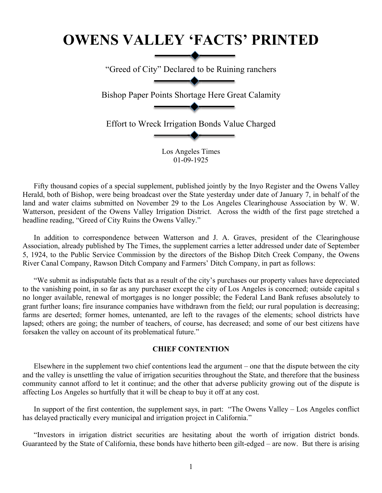## **OWENS VALLEY 'FACTS' PRINTED**

"Greed of City" Declared to be Ruining ranchers

Bishop Paper Points Shortage Here Great Calamity

Effort to Wreck Irrigation Bonds Value Charged

Los Angeles Times 01-09-1925

Fifty thousand copies of a special supplement, published jointly by the Inyo Register and the Owens Valley Herald, both of Bishop, were being broadcast over the State yesterday under date of January 7, in behalf of the land and water claims submitted on November 29 to the Los Angeles Clearinghouse Association by W. W. Watterson, president of the Owens Valley Irrigation District. Across the width of the first page stretched a headline reading, "Greed of City Ruins the Owens Valley."

In addition to correspondence between Watterson and J. A. Graves, president of the Clearinghouse Association, already published by The Times, the supplement carries a letter addressed under date of September 5, 1924, to the Public Service Commission by the directors of the Bishop Ditch Creek Company, the Owens River Canal Company, Rawson Ditch Company and Farmers' Ditch Company, in part as follows:

"We submit as indisputable facts that as a result of the city's purchases our property values have depreciated to the vanishing point, in so far as any purchaser except the city of Los Angeles is concerned; outside capital s no longer available, renewal of mortgages is no longer possible; the Federal Land Bank refuses absolutely to grant further loans; fire insurance companies have withdrawn from the field; our rural population is decreasing; farms are deserted; former homes, untenanted, are left to the ravages of the elements; school districts have lapsed; others are going; the number of teachers, of course, has decreased; and some of our best citizens have forsaken the valley on account of its problematical future."

## **CHIEF CONTENTION**

Elsewhere in the supplement two chief contentions lead the argument – one that the dispute between the city and the valley is unsettling the value of irrigation securities throughout the State, and therefore that the business community cannot afford to let it continue; and the other that adverse publicity growing out of the dispute is affecting Los Angeles so hurtfully that it will be cheap to buy it off at any cost.

In support of the first contention, the supplement says, in part: "The Owens Valley – Los Angeles conflict has delayed practically every municipal and irrigation project in California."

"Investors in irrigation district securities are hesitating about the worth of irrigation district bonds. Guaranteed by the State of California, these bonds have hitherto been gilt-edged – are now. But there is arising